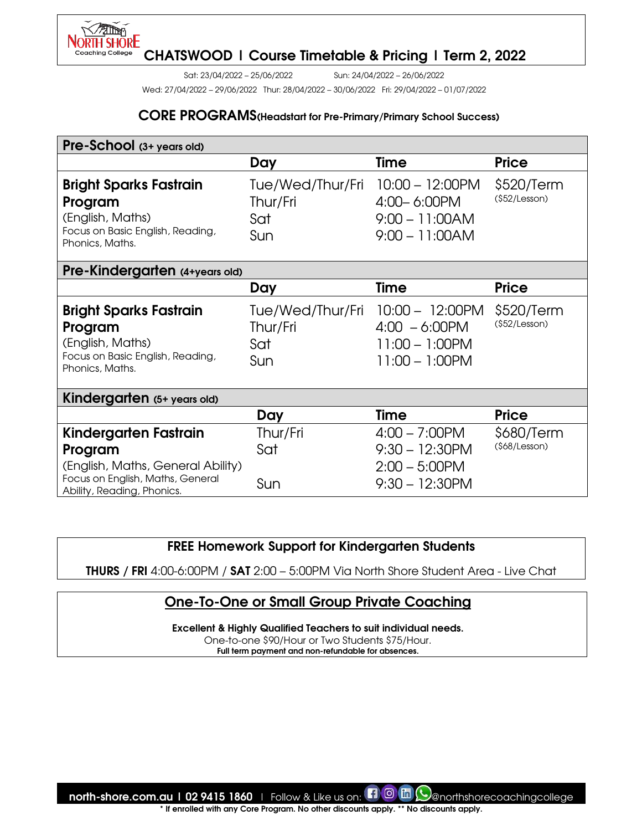

Sat: 23/04/2022 – 25/06/2022 Sun: 24/04/2022 – 26/06/2022

Wed: 27/04/2022 – 29/06/2022 Thur: 28/04/2022 – 30/06/2022 Fri: 29/04/2022 – 01/07/2022

#### CORE PROGRAMS(Headstart for Pre-Primary/Primary School Success)

| Pre-School (3+ years old)                                                                                                               |                                            |                                                                                |                              |
|-----------------------------------------------------------------------------------------------------------------------------------------|--------------------------------------------|--------------------------------------------------------------------------------|------------------------------|
|                                                                                                                                         | Day                                        | <b>Time</b>                                                                    | <b>Price</b>                 |
| <b>Bright Sparks Fastrain</b><br>Program<br>(English, Maths)<br>Focus on Basic English, Reading,<br>Phonics, Maths.                     | Tue/Wed/Thur/Fri<br>Thur/Fri<br>Sat<br>Sun | $10:00 - 12:00$ PM<br>4:00-6:00PM<br>$9:00 - 11:00AM$<br>$9:00 - 11:00AM$      | \$520/Term<br>(\$52/Lesson)  |
| Pre-Kindergarten (4+years old)                                                                                                          |                                            |                                                                                |                              |
|                                                                                                                                         | Day                                        | <b>Time</b>                                                                    | <b>Price</b>                 |
| <b>Bright Sparks Fastrain</b><br>Program<br>(English, Maths)<br>Focus on Basic English, Reading,<br>Phonics, Maths.                     | Tue/Wed/Thur/Fri<br>Thur/Fri<br>Sat<br>Sun | $10:00 - 12:00$ PM<br>$4:00 - 6:00$ PM<br>11:00 - 1:00PM<br>11:00 - 1:00PM     | \$520/Term<br>(\$52/Lesson)  |
| Kindergarten (5+ years old)                                                                                                             |                                            |                                                                                |                              |
|                                                                                                                                         | Day                                        | <b>Time</b>                                                                    | <b>Price</b>                 |
| Kindergarten Fastrain<br>Program<br>(English, Maths, General Ability)<br>Focus on English, Maths, General<br>Ability, Reading, Phonics. | Thur/Fri<br>Sat<br>Sun                     | $4:00 - 7:00$ PM<br>$9:30 - 12:30$ PM<br>$2:00 - 5:00$ PM<br>$9:30 - 12:30$ PM | \$680/Term<br>$($68/Lesson)$ |

### FREE Homework Support for Kindergarten Students

THURS / FRI 4:00-6:00PM / SAT 2:00 – 5:00PM Via North Shore Student Area - Live Chat

## One-To-One or Small Group Private Coaching

Excellent & Highly Qualified Teachers to suit individual needs.

One-to-one \$90/Hour or Two Students \$75/Hour. Full term payment and non-refundable for absences.

north-shore.com.au | 02 9415 1860 | Follow & Like us on:  $\Box$  @ m (O anorthshorecoachingcollege)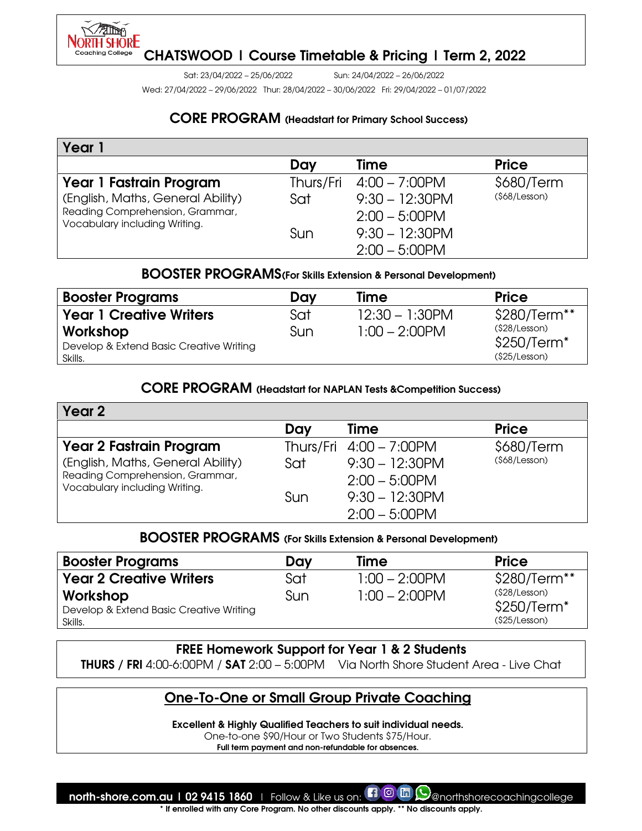

Sat: 23/04/2022 – 25/06/2022 Sun: 24/04/2022 – 26/06/2022

Wed: 27/04/2022 – 29/06/2022 Thur: 28/04/2022 – 30/06/2022 Fri: 29/04/2022 – 01/07/2022

### CORE PROGRAM (Headstart for Primary School Success)

| Year 1                                                           |           |                   |                |
|------------------------------------------------------------------|-----------|-------------------|----------------|
|                                                                  | Day       | Time              | <b>Price</b>   |
| Year 1 Fastrain Program                                          | Thurs/Fri | $4:00 - 7:00$ PM  | \$680/Term     |
| (English, Maths, General Ability)                                | Sat       | $9:30 - 12:30$ PM | $($68/Lesson)$ |
| Reading Comprehension, Grammar,<br>Vocabulary including Writing. |           | $2:00 - 5:00$ PM  |                |
|                                                                  | Sun       | $9:30 - 12:30$ PM |                |
|                                                                  |           | $2:00 - 5:00$ PM  |                |

## BOOSTER PROGRAMS(For Skills Extension & Personal Development)

| <b>Booster Programs</b>                                        | Dav | Time              | <b>Price</b>                                   |
|----------------------------------------------------------------|-----|-------------------|------------------------------------------------|
| <b>Year 1 Creative Writers</b>                                 | Sat | $12:30 - 1:30$ PM | \$280/Term**                                   |
| Workshop<br>Develop & Extend Basic Creative Writing<br>Skills. | Sun | $1:00 - 2:00$ PM  | (\$28/Lesson)<br>$$250/Term*$<br>(\$25/Lesson) |

#### CORE PROGRAM (Headstart for NAPLAN Tests &Competition Success)

| Year 2                                                           |     |                         |                |
|------------------------------------------------------------------|-----|-------------------------|----------------|
|                                                                  | Day | Time                    | <b>Price</b>   |
| <b>Year 2 Fastrain Program</b>                                   |     | Thurs/Fri 4:00 - 7:00PM | \$680/Term     |
| (English, Maths, General Ability)                                | Sat | $9:30 - 12:30$ PM       | $($68/Lesson)$ |
| Reading Comprehension, Grammar,<br>Vocabulary including Writing. |     | $2:00 - 5:00$ PM        |                |
|                                                                  | Sun | $9:30 - 12:30$ PM       |                |
|                                                                  |     | $2:00 - 5:00$ PM        |                |

### BOOSTER PROGRAMS (For Skills Extension & Personal Development)

| <b>Booster Programs</b>                            | Day | Time             | <b>Price</b>                 |
|----------------------------------------------------|-----|------------------|------------------------------|
| <b>Year 2 Creative Writers</b>                     | Sat | $1:00 - 2:00$ PM | \$280/Term**                 |
| Workshop                                           | Sun | $1:00 - 2:00$ PM | (§28/Lesson)<br>$$250/Term*$ |
| Develop & Extend Basic Creative Writing<br>Skills. |     |                  | (\$25/Lesson)                |

#### FREE Homework Support for Year 1 & 2 Students

THURS / FRI 4:00-6:00PM / SAT 2:00 – 5:00PM Via North Shore Student Area - Live Chat

## One-To-One or Small Group Private Coaching

Excellent & Highly Qualified Teachers to suit individual needs.

One-to-one \$90/Hour or Two Students \$75/Hour.

Full term payment and non-refundable for absences.

north-shore.com.au | 02 9415 1860 | Follow & Like us on:  $\Box$  @  $\Box$  Q anorthshorecoachingcollege If enrolled with any Core Program. No other discounts apply. \*\* No discounts apply.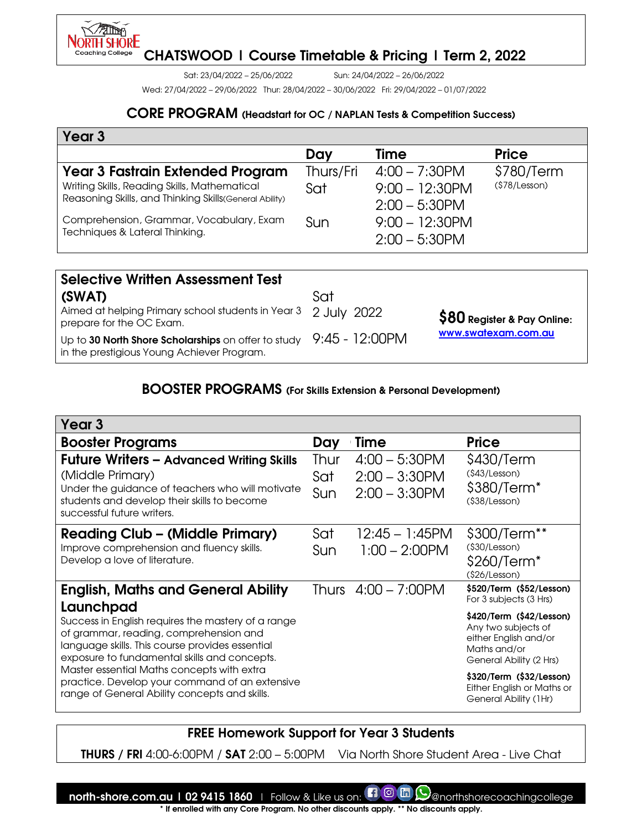

Sat: 23/04/2022 – 25/06/2022 Sun: 24/04/2022 – 26/06/2022

Wed: 27/04/2022 – 29/06/2022 Thur: 28/04/2022 – 30/06/2022 Fri: 29/04/2022 – 01/07/2022

## CORE PROGRAM (Headstart for OC / NAPLAN Tests & Competition Success)

| Year 3                                                                                                  |           |                                       |               |
|---------------------------------------------------------------------------------------------------------|-----------|---------------------------------------|---------------|
|                                                                                                         | Day       | Time                                  | <b>Price</b>  |
| <b>Year 3 Fastrain Extended Program</b>                                                                 | Thurs/Fri | $4:00 - 7:30$ PM                      | \$780/Term    |
| Writing Skills, Reading Skills, Mathematical<br>Reasoning Skills, and Thinking Skills (General Ability) | Sat       | $9:00 - 12:30$ PM<br>$2:00 - 5:30$ PM | (\$78/Lesson) |
| Comprehension, Grammar, Vocabulary, Exam<br>Techniques & Lateral Thinking.                              | Sun       | $9:00 - 12:30$ PM<br>$2:00 - 5:30$ PM |               |

| <b>Selective Written Assessment Test</b>                                                                           |     |                              |
|--------------------------------------------------------------------------------------------------------------------|-----|------------------------------|
| (SWAT)                                                                                                             | Sat |                              |
| Aimed at helping Primary school students in Year 3 2 July 2022<br>prepare for the OC Exam.                         |     | $$80$ Register & Pay Online: |
| Up to 30 North Shore Scholarships on offer to study $9:45$ - 12:00PM<br>in the prestigious Young Achiever Program. |     | www.swatexam.com.au          |

### BOOSTER PROGRAMS (For Skills Extension & Personal Development)

| Year <sub>3</sub>                                                                                                                                                                                                                                                                                                                                             |                    |                                                          |                                                                                                                                                                                                        |
|---------------------------------------------------------------------------------------------------------------------------------------------------------------------------------------------------------------------------------------------------------------------------------------------------------------------------------------------------------------|--------------------|----------------------------------------------------------|--------------------------------------------------------------------------------------------------------------------------------------------------------------------------------------------------------|
| <b>Booster Programs</b>                                                                                                                                                                                                                                                                                                                                       | Day                | Time                                                     | <b>Price</b>                                                                                                                                                                                           |
| <b>Future Writers - Advanced Writing Skills</b><br>(Middle Primary)<br>Under the guidance of teachers who will motivate<br>students and develop their skills to become<br>successful future writers.                                                                                                                                                          | Thur<br>Sat<br>Sun | $4:00 - 5:30$ PM<br>$2:00 - 3:30$ PM<br>$2:00 - 3:30$ PM | \$430/Term<br>(§43/Lesson)<br>\$380/Term <sup>*</sup><br>$($ \$38/Lesson $)$                                                                                                                           |
| <b>Reading Club - (Middle Primary)</b><br>Improve comprehension and fluency skills.<br>Develop a love of literature.                                                                                                                                                                                                                                          | Sat<br>Sun         | 12:45 – 1:45PM<br>$1:00 - 2:00$ PM                       | \$300/Term**<br>(§30/Lesson)<br>\$260/Term <sup>*</sup><br>(\$26/Lesson)                                                                                                                               |
| <b>English, Maths and General Ability</b>                                                                                                                                                                                                                                                                                                                     |                    | Thurs 4:00 – 7:00PM                                      | \$520/Term (\$52/Lesson)<br>For 3 subjects (3 Hrs)                                                                                                                                                     |
| Launchpad<br>Success in English requires the mastery of a range<br>of grammar, reading, comprehension and<br>language skills. This course provides essential<br>exposure to fundamental skills and concepts.<br>Master essential Maths concepts with extra<br>practice. Develop your command of an extensive<br>range of General Ability concepts and skills. |                    |                                                          | \$420/Term (\$42/Lesson)<br>Any two subjects of<br>either English and/or<br>Maths and/or<br>General Ability (2 Hrs)<br>\$320/Term (\$32/Lesson)<br>Either English or Maths or<br>General Ability (1Hr) |

## FREE Homework Support for Year 3 Students

THURS / FRI 4:00-6:00PM / SAT 2:00 – 5:00PM Via North Shore Student Area - Live Chat

north-shore.com.au | 02 9415 1860 | Follow & Like us on:  $\Box$  @ m  $\bigcirc$  anorthshorecoachingcollege \* If enrolled with any Core Program. No other discounts apply. \*\* No discounts apply.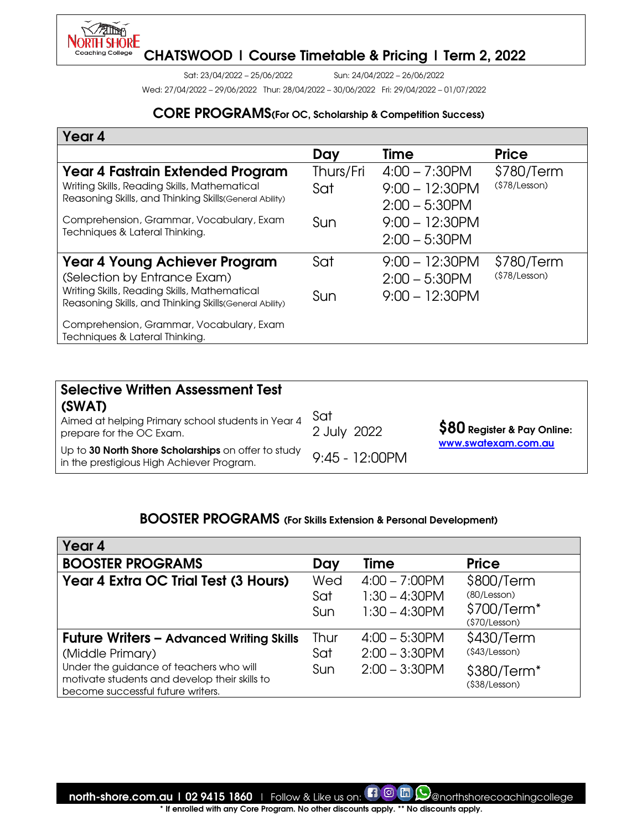

Sat: 23/04/2022 – 25/06/2022 Sun: 24/04/2022 – 26/06/2022

Wed: 27/04/2022 – 29/06/2022 Thur: 28/04/2022 – 30/06/2022 Fri: 29/04/2022 – 01/07/2022

## CORE PROGRAMS(For OC, Scholarship & Competition Success)

| Year 4                                                                                                 |           |                   |                |
|--------------------------------------------------------------------------------------------------------|-----------|-------------------|----------------|
|                                                                                                        | Day       | Time              | <b>Price</b>   |
| Year 4 Fastrain Extended Program                                                                       | Thurs/Fri | $4:00 - 7:30$ PM  | \$780/Term     |
| Writing Skills, Reading Skills, Mathematical                                                           | Sat       | $9:00 - 12:30$ PM | $($78/Lesson)$ |
| Reasoning Skills, and Thinking Skills(General Ability)                                                 |           | $2:00 - 5:30$ PM  |                |
| Comprehension, Grammar, Vocabulary, Exam                                                               | Sun       | $9:00 - 12:30$ PM |                |
| Techniques & Lateral Thinking.                                                                         |           | $2:00 - 5:30$ PM  |                |
| <b>Year 4 Young Achiever Program</b>                                                                   | Sat       | $9:00 - 12:30$ PM | \$780/Term     |
| (Selection by Entrance Exam)                                                                           |           | $2:00 - 5:30$ PM  | (\$78/Lesson)  |
| Writing Skills, Reading Skills, Mathematical<br>Reasoning Skills, and Thinking Skills(General Ability) | Sun       | $9:00 - 12:30$ PM |                |
| Comprehension, Grammar, Vocabulary, Exam<br>Techniques & Lateral Thinking.                             |           |                   |                |

| <b>Selective Written Assessment Test</b>                                                         |                    |                               |
|--------------------------------------------------------------------------------------------------|--------------------|-------------------------------|
| (SWAT)<br>Aimed at helping Primary school students in Year 4<br>prepare for the OC Exam.         | Sat<br>2 July 2022 | $\$80$ Register & Pay Online: |
| Up to 30 North Shore Scholarships on offer to study<br>in the prestigious High Achiever Program. | $9:45 - 12:00$ PM  | www.swatexam.com.au           |

### BOOSTER PROGRAMS (For Skills Extension & Personal Development)

| Year 4                                                                                                                                                                                               |                    |                                                          |                                                                       |
|------------------------------------------------------------------------------------------------------------------------------------------------------------------------------------------------------|--------------------|----------------------------------------------------------|-----------------------------------------------------------------------|
| <b>BOOSTER PROGRAMS</b>                                                                                                                                                                              | Day                | Time                                                     | <b>Price</b>                                                          |
| Year 4 Extra OC Trial Test (3 Hours)                                                                                                                                                                 | Wed<br>Sat<br>Sun  | $4:00 - 7:00$ PM<br>$1:30 - 4:30$ PM<br>$1:30 - 4:30$ PM | \$800/Term<br>(80/Lesson)<br>\$700/Term <sup>*</sup><br>(\$70/Lesson) |
| <b>Future Writers - Advanced Writing Skills</b><br>(Middle Primary)<br>Under the guidance of teachers who will<br>motivate students and develop their skills to<br>become successful future writers. | Thur<br>Sat<br>Sun | $4:00 - 5:30$ PM<br>$2:00 - 3:30$ PM<br>$2:00 - 3:30$ PM | \$430/Term<br>(§43/Lesson)<br>\$380/Term <sup>*</sup><br>(§38/Lesson) |

north-shore.com.au | 02 9415 1860 | Follow & Like us on: **[1 © m Q**enorthshorecoachingcollege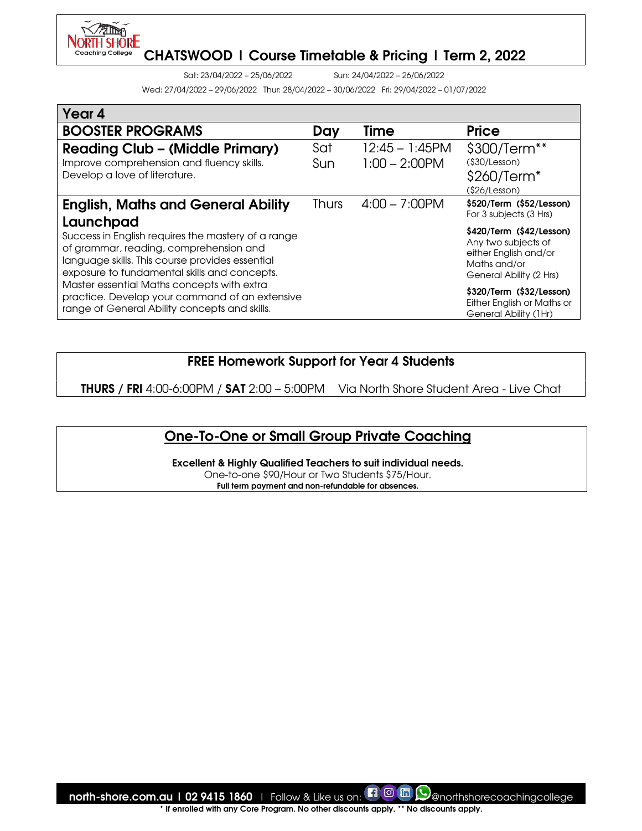

Sat: 23/04/2022 – 25/06/2022 Sun: 24/04/2022 – 26/06/2022

Wed: 27/04/2022 – 29/06/2022 Thur: 28/04/2022 – 30/06/2022 Fri: 29/04/2022 – 01/07/2022

| Year 4                                                                                                                                                                                                       |              |                                       |                                                                                                                     |
|--------------------------------------------------------------------------------------------------------------------------------------------------------------------------------------------------------------|--------------|---------------------------------------|---------------------------------------------------------------------------------------------------------------------|
| <b>BOOSTER PROGRAMS</b>                                                                                                                                                                                      | Day          | Time                                  | <b>Price</b>                                                                                                        |
| <b>Reading Club - (Middle Primary)</b><br>Improve comprehension and fluency skills.<br>Develop a love of literature.                                                                                         | Sat<br>Sun   | $12:45 - 1:45$ PM<br>$1:00 - 2:00$ PM | \$300/Term**<br>$($ \$30/Lesson $)$<br>\$260/Term <sup>*</sup><br>(\$26/Lesson)                                     |
| <b>English, Maths and General Ability</b>                                                                                                                                                                    | <b>Thurs</b> | $4:00 - 7:00$ PM                      | \$520/Term (\$52/Lesson)<br>For 3 subjects (3 Hrs)                                                                  |
| Launchpad<br>Success in English requires the mastery of a range<br>of grammar, reading, comprehension and<br>language skills. This course provides essential<br>exposure to fundamental skills and concepts. |              |                                       | \$420/Term (\$42/Lesson)<br>Any two subjects of<br>either English and/or<br>Maths and/or<br>General Ability (2 Hrs) |
| Master essential Maths concepts with extra<br>practice. Develop your command of an extensive<br>range of General Ability concepts and skills.                                                                |              |                                       | \$320/Term (\$32/Lesson)<br>Either English or Maths or<br>General Ability (1Hr)                                     |

## FREE Homework Support for Year 4 Students

THURS / FRI 4:00-6:00PM / SAT 2:00 – 5:00PM Via North Shore Student Area - Live Chat

## One-To-One or Small Group Private Coaching

Excellent & Highly Qualified Teachers to suit individual needs. One-to-one \$90/Hour or Two Students \$75/Hour. Full term payment and non-refundable for absences.

north-shore.com.au | 02 9415 1860 | Follow & Like us on:  $\Box$  @ m (O anorthshorecoachingcollege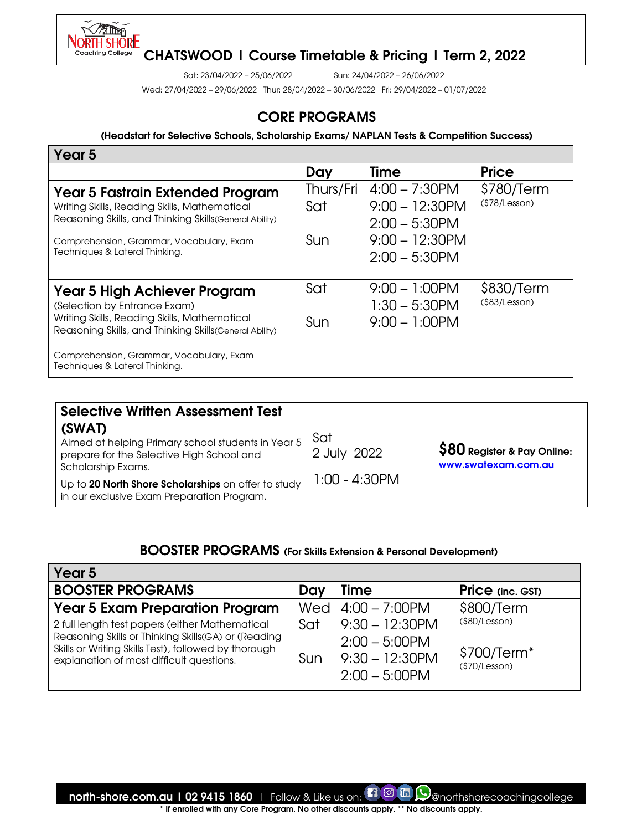

Sat: 23/04/2022 – 25/06/2022 Sun: 24/04/2022 – 26/06/2022

Wed: 27/04/2022 – 29/06/2022 Thur: 28/04/2022 – 30/06/2022 Fri: 29/04/2022 – 01/07/2022

## CORE PROGRAMS

(Headstart for Selective Schools, Scholarship Exams/ NAPLAN Tests & Competition Success)

| Year 5                                                                                                                                      |                  |                                                           |                             |
|---------------------------------------------------------------------------------------------------------------------------------------------|------------------|-----------------------------------------------------------|-----------------------------|
|                                                                                                                                             | Day              | Time                                                      | <b>Price</b>                |
| Year 5 Fastrain Extended Program<br>Writing Skills, Reading Skills, Mathematical<br>Reasoning Skills, and Thinking Skills (General Ability) | Thurs/Fri<br>Sat | $4:00 - 7:30$ PM<br>$9:00 - 12:30$ PM<br>$2:00 - 5:30$ PM | \$780/Term<br>(\$78/Lesson) |
| Comprehension, Grammar, Vocabulary, Exam<br>Techniques & Lateral Thinking.                                                                  | Sun              | $9:00 - 12:30$ PM<br>$2:00 - 5:30$ PM                     |                             |
| Year 5 High Achiever Program<br>(Selection by Entrance Exam)                                                                                | Sat              | $9:00 - 1:00$ PM<br>$1:30 - 5:30$ PM                      | \$830/Term<br>(\$83/Lesson) |
| Writing Skills, Reading Skills, Mathematical<br>Reasoning Skills, and Thinking Skills (General Ability)                                     | Sun              | $9:00 - 1:00$ PM                                          |                             |
| Comprehension, Grammar, Vocabulary, Exam<br>Techniques & Lateral Thinking.                                                                  |                  |                                                           |                             |

| <b>Selective Written Assessment Test</b>                                                                                                                                                                                             |                                     |                                                     |
|--------------------------------------------------------------------------------------------------------------------------------------------------------------------------------------------------------------------------------------|-------------------------------------|-----------------------------------------------------|
| (SWAT)<br>Aimed at helping Primary school students in Year 5<br>prepare for the Selective High School and<br>Scholarship Exams.<br>Up to 20 North Shore Scholarships on offer to study<br>in our exclusive Exam Preparation Program. | Sat<br>2 July 2022<br>1:00 - 4:30PM | $$80$ Register & Pay Online:<br>www.swatexam.com.au |

# BOOSTER PROGRAMS (For Skills Extension & Personal Development)

| Year 5                                                                                                                                                                                                    |            |                                                                                |                                                           |
|-----------------------------------------------------------------------------------------------------------------------------------------------------------------------------------------------------------|------------|--------------------------------------------------------------------------------|-----------------------------------------------------------|
| <b>BOOSTER PROGRAMS</b>                                                                                                                                                                                   | Day        | <b>Time</b>                                                                    | <b>Price</b> (inc. GST)                                   |
| <b>Year 5 Exam Preparation Program</b>                                                                                                                                                                    |            | Wed $4:00 - 7:00$ PM                                                           | \$800/Term                                                |
| 2 full length test papers (either Mathematical<br>Reasoning Skills or Thinking Skills(GA) or (Reading<br>Skills or Writing Skills Test), followed by thorough<br>explanation of most difficult questions. | Sat<br>Sun | $9:30 - 12:30$ PM<br>$2:00 - 5:00$ PM<br>$9:30 - 12:30$ PM<br>$2:00 - 5:00$ PM | (\$80/Lesson)<br>\$700/Term <sup>*</sup><br>(\$70/Lesson) |

north-shore.com.au | 02 9415 1860 | Follow & Like us on:  $\Box$  @ m (V) @northshorecoachingcollege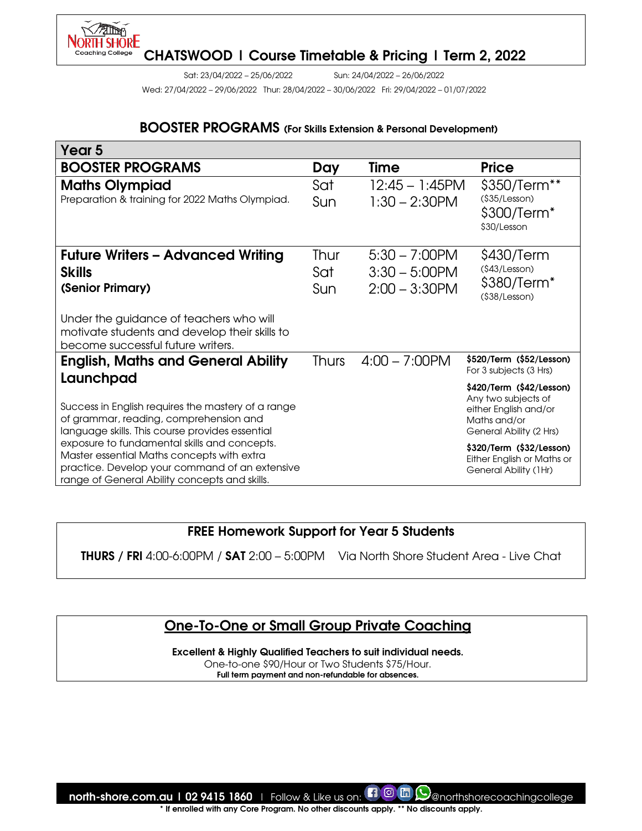

Sat: 23/04/2022 – 25/06/2022 Sun: 24/04/2022 – 26/06/2022

Wed: 27/04/2022 – 29/06/2022 Thur: 28/04/2022 – 30/06/2022 Fri: 29/04/2022 – 01/07/2022

#### BOOSTER PROGRAMS (For Skills Extension & Personal Development)

| Year <sub>5</sub>                                                                                                                                                                                                                                                                                                                                |       |                   |                                                                                                                                                                                                        |
|--------------------------------------------------------------------------------------------------------------------------------------------------------------------------------------------------------------------------------------------------------------------------------------------------------------------------------------------------|-------|-------------------|--------------------------------------------------------------------------------------------------------------------------------------------------------------------------------------------------------|
| <b>BOOSTER PROGRAMS</b>                                                                                                                                                                                                                                                                                                                          | Day   | Time              | <b>Price</b>                                                                                                                                                                                           |
| <b>Maths Olympiad</b>                                                                                                                                                                                                                                                                                                                            | Sat   | $12:45 - 1:45$ PM | \$350/Term**                                                                                                                                                                                           |
| Preparation & training for 2022 Maths Olympiad.                                                                                                                                                                                                                                                                                                  | Sun   | $1:30 - 2:30$ PM  | (\$35/Lesson)<br>\$300/Term <sup>*</sup><br>\$30/Lesson                                                                                                                                                |
| <b>Future Writers - Advanced Writing</b>                                                                                                                                                                                                                                                                                                         | Thur  | $5:30 - 7:00$ PM  | \$430/Term                                                                                                                                                                                             |
| <b>Skills</b>                                                                                                                                                                                                                                                                                                                                    | Sat   | $3:30 - 5:00$ PM  | (§43/Lesson)                                                                                                                                                                                           |
| (Senior Primary)                                                                                                                                                                                                                                                                                                                                 | Sun   | $2:00 - 3:30$ PM  | \$380/Term <sup>*</sup><br>(§38/Lesson)                                                                                                                                                                |
| Under the guidance of teachers who will<br>motivate students and develop their skills to<br>become successful future writers.                                                                                                                                                                                                                    |       |                   |                                                                                                                                                                                                        |
| <b>English, Maths and General Ability</b><br>Launchpad                                                                                                                                                                                                                                                                                           | Thurs | $4:00 - 7:00$ PM  | \$520/Term (\$52/Lesson)<br>For 3 subjects (3 Hrs)                                                                                                                                                     |
| Success in English requires the mastery of a range<br>of grammar, reading, comprehension and<br>language skills. This course provides essential<br>exposure to fundamental skills and concepts.<br>Master essential Maths concepts with extra<br>practice. Develop your command of an extensive<br>range of General Ability concepts and skills. |       |                   | \$420/Term (\$42/Lesson)<br>Any two subjects of<br>either English and/or<br>Maths and/or<br>General Ability (2 Hrs)<br>\$320/Term (\$32/Lesson)<br>Either English or Maths or<br>General Ability (1Hr) |

## FREE Homework Support for Year 5 Students

THURS / FRI 4:00-6:00PM / SAT 2:00 – 5:00PM Via North Shore Student Area - Live Chat

## One-To-One or Small Group Private Coaching

Excellent & Highly Qualified Teachers to suit individual needs.

One-to-one \$90/Hour or Two Students \$75/Hour. Full term payment and non-refundable for absences.

north-shore.com.au | 02 9415 1860 | Follow & Like us on:  $\Box$  @ m Q @northshorecoachingcollege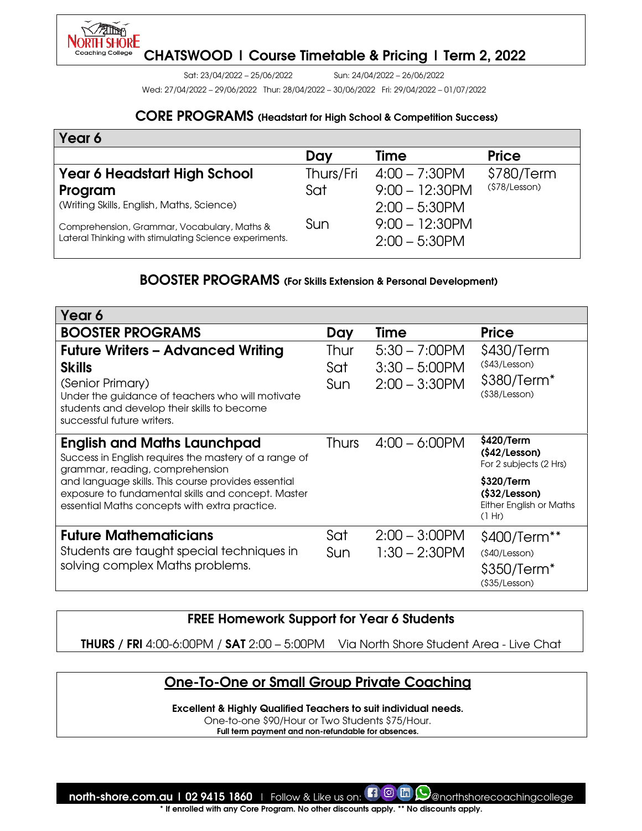

Sat: 23/04/2022 – 25/06/2022 Sun: 24/04/2022 – 26/06/2022

Wed: 27/04/2022 – 29/06/2022 Thur: 28/04/2022 – 30/06/2022 Fri: 29/04/2022 – 01/07/2022

#### CORE PROGRAMS (Headstart for High School & Competition Success)

| Year 6                                                                                                |           |                                       |               |
|-------------------------------------------------------------------------------------------------------|-----------|---------------------------------------|---------------|
|                                                                                                       | Day       | Time                                  | <b>Price</b>  |
| <b>Year 6 Headstart High School</b>                                                                   | Thurs/Fri | $4:00 - 7:30$ PM                      | \$780/Term    |
| Program                                                                                               | Sat       | $9:00 - 12:30$ PM                     | (\$78/Lesson) |
| (Writing Skills, English, Maths, Science)                                                             |           | $2:00 - 5:30$ PM                      |               |
| Comprehension, Grammar, Vocabulary, Maths &<br>Lateral Thinking with stimulating Science experiments. | Sun       | $9:00 - 12:30$ PM<br>$2:00 - 5:30$ PM |               |

### BOOSTER PROGRAMS (For Skills Extension & Personal Development)

| Year 6                                                                                                                                                                                                         |                           |                                                          |                                                                              |
|----------------------------------------------------------------------------------------------------------------------------------------------------------------------------------------------------------------|---------------------------|----------------------------------------------------------|------------------------------------------------------------------------------|
| <b>BOOSTER PROGRAMS</b>                                                                                                                                                                                        | Day                       | Time                                                     | <b>Price</b>                                                                 |
| <b>Future Writers - Advanced Writing</b><br><b>Skills</b><br>(Senior Primary)<br>Under the guidance of teachers who will motivate<br>students and develop their skills to become<br>successful future writers. | Thur<br>Sat<br><b>Sun</b> | $5:30 - 7:00$ PM<br>$3:30 - 5:00$ PM<br>$2:00 - 3:30$ PM | \$430/Term<br>(§43/Lesson)<br>\$380/Term <sup>*</sup><br>$($ \$38/Lesson $)$ |
| <b>English and Maths Launchpad</b><br>Success in English requires the mastery of a range of<br>grammar, reading, comprehension                                                                                 | <b>Thurs</b>              | $4:00 - 6:00$ PM                                         | \$420/Term<br>(\$42/Lesson)<br>For 2 subjects (2 Hrs)                        |
| and language skills. This course provides essential<br>exposure to fundamental skills and concept. Master<br>essential Maths concepts with extra practice.                                                     |                           |                                                          | \$320/Term<br>$($32/Lesson)$<br>Either English or Maths<br>(1 Hr)            |
| <b>Future Mathematicians</b>                                                                                                                                                                                   | Sat                       | $2:00 - 3:00$ PM                                         | \$400/Term <sup>**</sup>                                                     |
| Students are taught special techniques in                                                                                                                                                                      | Sun                       | $1:30 - 2:30$ PM                                         | (§40/Lesson)                                                                 |
| solving complex Maths problems.                                                                                                                                                                                |                           |                                                          | \$350/Term <sup>*</sup><br>(\$35/Lesson)                                     |

## FREE Homework Support for Year 6 Students

THURS / FRI 4:00-6:00PM / SAT 2:00 – 5:00PM Via North Shore Student Area - Live Chat

# One-To-One or Small Group Private Coaching

Excellent & Highly Qualified Teachers to suit individual needs.

One-to-one \$90/Hour or Two Students \$75/Hour.

Full term payment and non-refundable for absences.

north-shore.com.au | 02 9415 1860 | Follow & Like us on:  $\Box$  @ m  $\bigcirc$  anorthshorecoachingcollege If enrolled with any Core Program. No other discounts apply. \*\* No discounts apply.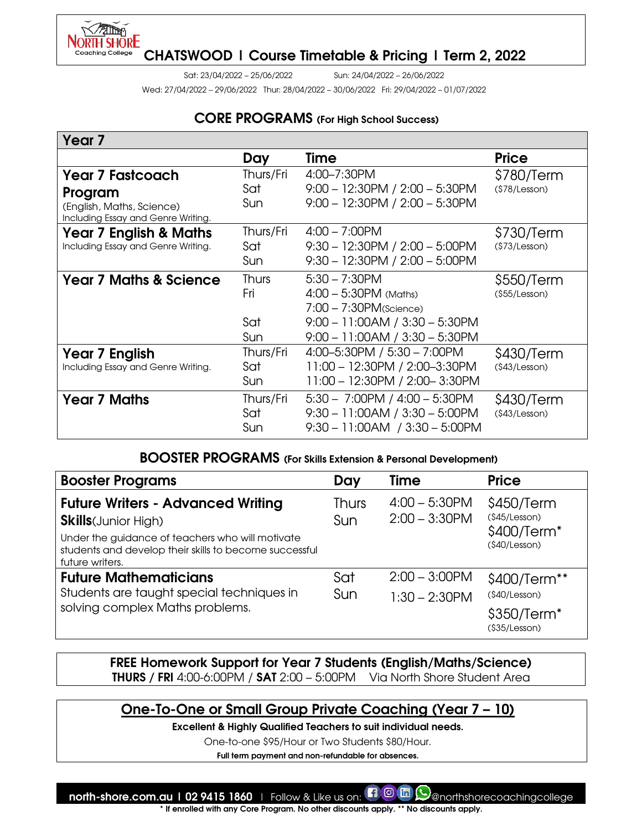

Sat: 23/04/2022 – 25/06/2022 Sun: 24/04/2022 – 26/06/2022

Wed: 27/04/2022 – 29/06/2022 Thur: 28/04/2022 – 30/06/2022 Fri: 29/04/2022 – 01/07/2022

### CORE PROGRAMS (For High School Success)

| Year <sub>7</sub>                                               |              |                                      |                |
|-----------------------------------------------------------------|--------------|--------------------------------------|----------------|
|                                                                 | Day          | Time                                 | <b>Price</b>   |
| <b>Year 7 Fastcoach</b>                                         | Thurs/Fri    | 4:00-7:30PM                          | \$780/Term     |
| Program                                                         | Sat          | $9:00 - 12:30$ PM $/ 2:00 - 5:30$ PM | (§78/Lesson)   |
| (English, Maths, Science)<br>Including Essay and Genre Writing. | Sun          | $9:00 - 12:30$ PM $/ 2:00 - 5:30$ PM |                |
| <b>Year 7 English &amp; Maths</b>                               | Thurs/Fri    | $4:00 - 7:00$ PM                     | \$730/Term     |
| Including Essay and Genre Writing.                              | Sat          | $9:30 - 12:30$ PM $/ 2:00 - 5:00$ PM | (\$73/Lesson)  |
|                                                                 | Sun          | $9:30 - 12:30$ PM $/ 2:00 - 5:00$ PM |                |
| <b>Year 7 Maths &amp; Science</b>                               | <b>Thurs</b> | $5:30 - 7:30$ PM                     | \$550/Term     |
|                                                                 | Fri          | $4:00 - 5:30PM$ (Maths)              | $($55/Lesson)$ |
|                                                                 |              | $7:00 - 7:30$ PM(Science)            |                |
|                                                                 | Sat          | $9:00 - 11:00AM / 3:30 - 5:30PM$     |                |
|                                                                 | <b>Sun</b>   | $9:00 - 11:00AM / 3:30 - 5:30PM$     |                |
| <b>Year 7 English</b>                                           | Thurs/Fri    | 4:00-5:30PM / 5:30 - 7:00PM          | \$430/Term     |
| Including Essay and Genre Writing.                              | Sat          | 11:00 - 12:30PM / 2:00-3:30PM        | (§43/Lesson)   |
|                                                                 | Sun          | 11:00 - 12:30PM / 2:00-3:30PM        |                |
| <b>Year 7 Maths</b>                                             | Thurs/Fri    | $5:30 - 7:00$ PM / $4:00 - 5:30$ PM  | \$430/Term     |
|                                                                 | Sat          | $9:30 - 11:00AM / 3:30 - 5:00PM$     | (§43/Lesson)   |
|                                                                 | <b>Sun</b>   | $9:30 - 11:00AM$ / $3:30 - 5:00PM$   |                |

## BOOSTER PROGRAMS (For Skills Extension & Personal Development)

| <b>Booster Programs</b>                                                                                                       | Day                 | Time                                 | <b>Price</b>                            |
|-------------------------------------------------------------------------------------------------------------------------------|---------------------|--------------------------------------|-----------------------------------------|
| <b>Future Writers - Advanced Writing</b><br><b>Skills</b> (Junior High)                                                       | <b>Thurs</b><br>Sun | $4:00 - 5:30$ PM<br>$2:00 - 3:30$ PM | \$450/Term<br>(\$45/Lesson)             |
| Under the guidance of teachers who will motivate<br>students and develop their skills to become successful<br>future writers. |                     |                                      | \$400/Term <sup>*</sup><br>(§40/Lesson) |
| <b>Future Mathematicians</b>                                                                                                  | Sat                 | $2:00 - 3:00$ PM                     | \$400/Term**                            |
| Students are taught special techniques in                                                                                     | Sun                 | $1:30 - 2:30$ PM                     | (\$40/Lesson)                           |
| solving complex Maths problems.                                                                                               |                     |                                      | \$350/Term <sup>*</sup><br>(§35/Lesson) |

FREE Homework Support for Year 7 Students (English/Maths/Science) THURS / FRI 4:00-6:00PM / SAT 2:00 – 5:00PM Via North Shore Student Area

# One-To-One or Small Group Private Coaching (Year 7 – 10)

Excellent & Highly Qualified Teachers to suit individual needs.

One-to-one \$95/Hour or Two Students \$80/Hour.

Full term payment and non-refundable for absences.

north-shore.com.au | 02 9415 1860 | Follow & Like us on: **[1] @ m (9)** @northshorecoachingcollege If enrolled with any Core Program. No other discounts apply. \*\* No discounts apply.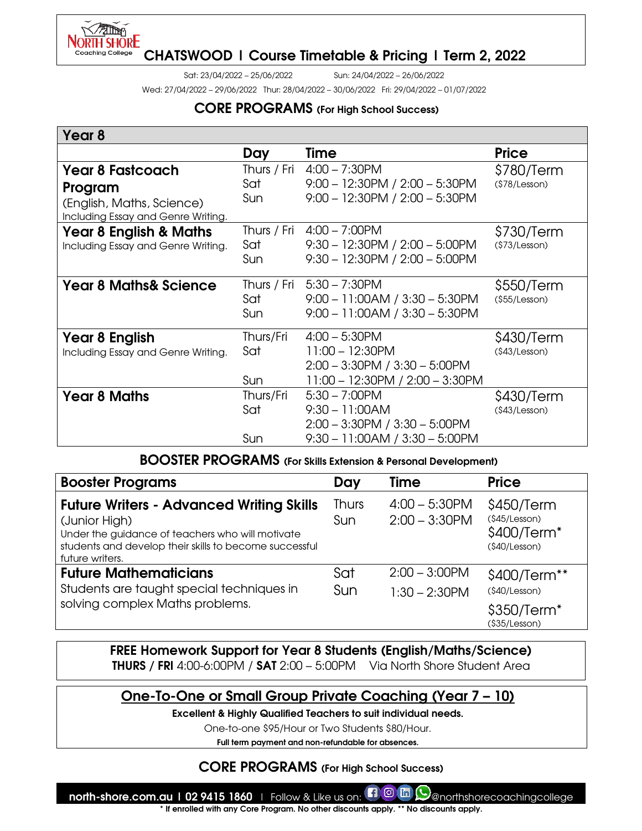

I

## CHATSWOOD | Course Timetable & Pricing | Term 2, 2022

Sat: 23/04/2022 – 25/06/2022 Sun: 24/04/2022 – 26/06/2022

Wed: 27/04/2022 – 29/06/2022 Thur: 28/04/2022 – 30/06/2022 Fri: 29/04/2022 – 01/07/2022

### CORE PROGRAMS (For High School Success)

| Year 8                                                          |             |                                      |                |
|-----------------------------------------------------------------|-------------|--------------------------------------|----------------|
|                                                                 | Day         | Time                                 | <b>Price</b>   |
| <b>Year 8 Fastcoach</b>                                         | Thurs / Fri | $4:00 - 7:30$ PM                     | \$780/Term     |
| Program                                                         | Sat         | $9:00 - 12:30PM / 2:00 - 5:30PM$     | (\$78/Lesson)  |
| (English, Maths, Science)<br>Including Essay and Genre Writing. | <b>Sun</b>  | 9:00 - 12:30PM / 2:00 - 5:30PM       |                |
| <b>Year 8 English &amp; Maths</b>                               | Thurs / Fri | $4:00 - 7:00$ PM                     | \$730/Term     |
| Including Essay and Genre Writing.                              | Sat         | $9:30 - 12:30PM / 2:00 - 5:00PM$     | (\$73/Lesson)  |
|                                                                 | Sun         | $9:30 - 12:30$ PM / $2:00 - 5:00$ PM |                |
| <b>Year 8 Maths&amp; Science</b>                                | Thurs / Fri | $5:30 - 7:30$ PM                     | \$550/Term     |
|                                                                 | Sat         | $9:00 - 11:00AM / 3:30 - 5:30PM$     | $($55/Lesson)$ |
|                                                                 | Sun         | $9:00 - 11:00AM / 3:30 - 5:30PM$     |                |
| Year 8 English                                                  | Thurs/Fri   | $4:00 - 5:30$ PM                     | \$430/Term     |
| Including Essay and Genre Writing.                              | Sat         | $11:00 - 12:30$ PM                   | (§43/Lesson)   |
|                                                                 |             | $2:00 - 3:30$ PM $/ 3:30 - 5:00$ PM  |                |
|                                                                 | Sun         | 11:00 - 12:30PM / 2:00 - 3:30PM      |                |
| <b>Year 8 Maths</b>                                             | Thurs/Fri   | $5:30 - 7:00$ PM                     | \$430/Term     |
|                                                                 | Sat         | $9:30 - 11:00AM$                     | (§43/Lesson)   |
|                                                                 |             | $2:00 - 3:30$ PM $/ 3:30 - 5:00$ PM  |                |
|                                                                 | Sun         | $9:30 - 11:00AM / 3:30 - 5:00PM$     |                |

#### BOOSTER PROGRAMS (For Skills Extension & Personal Development)

| <b>Booster Programs</b>                                                                                                                                                                           | Day                 | Time                                 | <b>Price</b>                                                             |
|---------------------------------------------------------------------------------------------------------------------------------------------------------------------------------------------------|---------------------|--------------------------------------|--------------------------------------------------------------------------|
| <b>Future Writers - Advanced Writing Skills</b><br>(Junior High)<br>Under the guidance of teachers who will motivate<br>students and develop their skills to become successful<br>future writers. | <b>Thurs</b><br>Sun | $4:00 - 5:30$ PM<br>$2:00 - 3:30$ PM | \$450/Term<br>(§45/Lesson)<br>\$400/Term <sup>*</sup><br>(§40/Lesson)    |
| <b>Future Mathematicians</b><br>Students are taught special techniques in<br>solving complex Maths problems.                                                                                      | Sat<br><b>Sun</b>   | $2:00 - 3:00$ PM<br>$1:30 - 2:30$ PM | \$400/Term**<br>(\$40/Lesson)<br>\$350/Term <sup>*</sup><br>(§35/Lesson) |

FREE Homework Support for Year 8 Students (English/Maths/Science) **THURS** / FRI 4:00-6:00PM / SAT  $2:00 - 5:00$ PM Via North Shore Student Area



Excellent & Highly Qualified Teachers to suit individual needs.

One-to-one \$95/Hour or Two Students \$80/Hour.

Full term payment and non-refundable for absences.

### CORE PROGRAMS (For High School Success)

north-shore.com.au | 02 9415 1860 | Follow & Like us on: **#1 @ m Q** anorthshorecoachingcollege If enrolled with any Core Program. No other discounts apply. \*\* No discounts apply.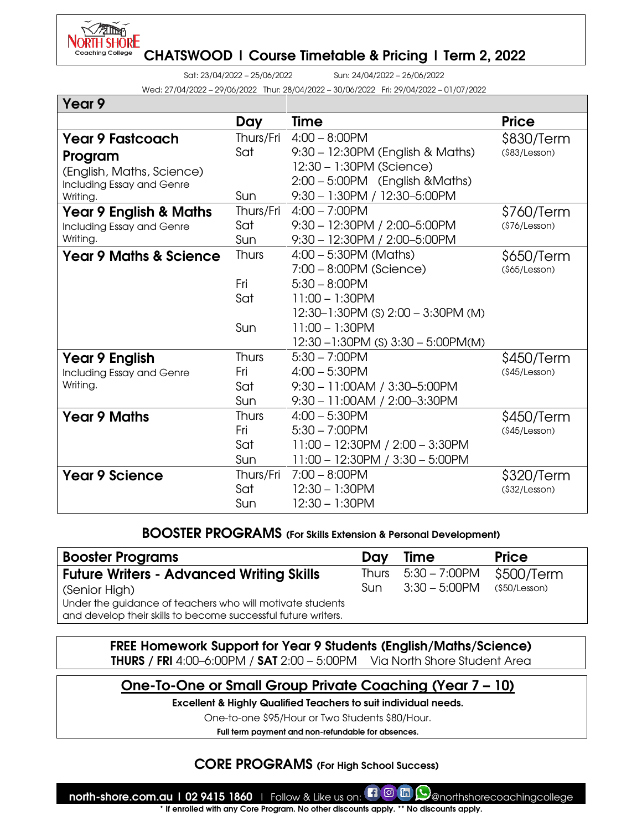

 $V = \cdots$   $\theta$ 

CHATSWOOD | Course Timetable & Pricing | Term 2, 2022

Sat: 23/04/2022 – 25/06/2022 Sun: 24/04/2022 – 26/06/2022

Wed: 27/04/2022 – 29/06/2022 Thur: 28/04/2022 – 30/06/2022 Fri: 29/04/2022 – 01/07/2022

| Year y                            |              |                                         |                |
|-----------------------------------|--------------|-----------------------------------------|----------------|
|                                   | Day          | <b>Time</b>                             | <b>Price</b>   |
| <b>Year 9 Fastcoach</b>           | Thurs/Fri    | $4:00 - 8:00$ PM                        | \$830/Term     |
| Program                           | Sat          | 9:30 - 12:30PM (English & Maths)        | $($83/Lesson)$ |
| (English, Maths, Science)         |              | 12:30 - 1:30PM (Science)                |                |
| Including Essay and Genre         |              | 2:00 - 5:00PM (English & Maths)         |                |
| Writing.                          | Sun          | 9:30 - 1:30PM / 12:30-5:00PM            |                |
| <b>Year 9 English &amp; Maths</b> | Thurs/Fri    | $4:00 - 7:00$ PM                        | \$760/Term     |
| Including Essay and Genre         | Sat          | 9:30 - 12:30PM / 2:00-5:00PM            | (\$76/Lesson)  |
| Writing.                          | Sun          | $9:30 - 12:30PM / 2:00 - 5:00PM$        |                |
| <b>Year 9 Maths &amp; Science</b> | <b>Thurs</b> | $4:00 - 5:30PM$ (Maths)                 | \$650/Term     |
|                                   |              | $7:00 - 8:00$ PM (Science)              | (§65/Lesson)   |
|                                   | Fri          | $5:30 - 8:00$ PM                        |                |
|                                   | Sat          | $11:00 - 1:30$ PM                       |                |
|                                   |              | $12:30-1:30PM$ (S) $2:00-3:30PM$ (M)    |                |
|                                   | Sun          | $11:00 - 1:30$ PM                       |                |
|                                   |              | $12:30 - 1:30PM$ (S) $3:30 - 5:00PM(M)$ |                |
| <b>Year 9 English</b>             | <b>Thurs</b> | $5:30 - 7:00$ PM                        | \$450/Term     |
| Including Essay and Genre         | Fri          | $4:00 - 5:30$ PM                        | (\$45/Lesson)  |
| Writing.                          | Sat          | 9:30 - 11:00AM / 3:30-5:00PM            |                |
|                                   | Sun          | $9:30 - 11:00AM / 2:00-3:30PM$          |                |
| <b>Year 9 Maths</b>               | <b>Thurs</b> | $4:00 - 5:30$ PM                        | \$450/Term     |
|                                   | Fri          | $5:30 - 7:00$ PM                        | (§45/Lesson)   |
|                                   | Sat          | $11:00 - 12:30PM / 2:00 - 3:30PM$       |                |
|                                   | Sun          | 11:00 - 12:30PM / 3:30 - 5:00PM         |                |
| <b>Year 9 Science</b>             | Thurs/Fri    | $7:00 - 8:00$ PM                        | \$320/Term     |
|                                   | Sat          | $12:30 - 1:30$ PM                       | (§32/Lesson)   |
|                                   | Sun          | 12:30 - 1:30PM                          |                |

#### BOOSTER PROGRAMS (For Skills Extension & Personal Development)

| <b>Booster Programs</b>                                                                                                    | Dav | Time                   | <b>Price</b>  |
|----------------------------------------------------------------------------------------------------------------------------|-----|------------------------|---------------|
| <b>Future Writers - Advanced Writing Skills</b>                                                                            |     | Thurs $5:30 - 7:00$ PM | \$500/Term    |
| (Senior High)                                                                                                              | Sun | $3:30 - 5:00$ PM       | (\$50/Lesson) |
| Under the guidance of teachers who will motivate students<br>and develop their skills to become successful future writers. |     |                        |               |

FREE Homework Support for Year 9 Students (English/Maths/Science) THURS / FRI 4:00–6:00PM / SAT 2:00 – 5:00PM Via North Shore Student Area

# One-To-One or Small Group Private Coaching (Year 7 – 10)

Excellent & Highly Qualified Teachers to suit individual needs.

One-to-one \$95/Hour or Two Students \$80/Hour.

Full term payment and non-refundable for absences.

## CORE PROGRAMS (For High School Success)

north-shore.com.au | 02 9415 1860 | Follow & Like us on: **#1 @ m Q** anorthshorecoachingcollege If enrolled with any Core Program. No other discounts apply. \*\* No discounts apply.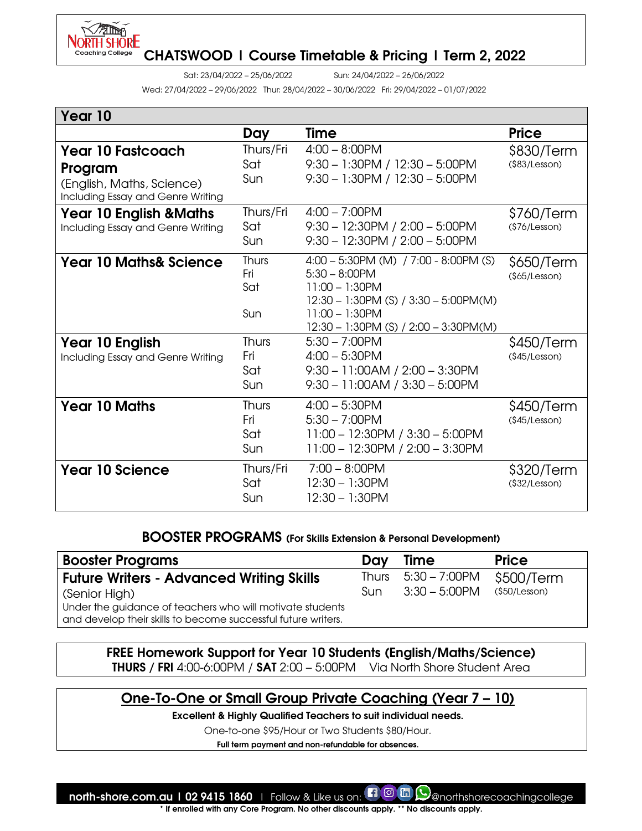

Sat: 23/04/2022 – 25/06/2022 Sun: 24/04/2022 – 26/06/2022

Wed: 27/04/2022 – 29/06/2022 Thur: 28/04/2022 – 30/06/2022 Fri: 29/04/2022 – 01/07/2022

| Year 10                                                                                               |                                          |                                                                                                                                                                                             |                              |
|-------------------------------------------------------------------------------------------------------|------------------------------------------|---------------------------------------------------------------------------------------------------------------------------------------------------------------------------------------------|------------------------------|
|                                                                                                       | Day                                      | <b>Time</b>                                                                                                                                                                                 | <b>Price</b>                 |
| <b>Year 10 Fastcoach</b><br>Program<br>(English, Maths, Science)<br>Including Essay and Genre Writing | Thurs/Fri<br>Sat<br><b>Sun</b>           | $4:00 - 8:00$ PM<br>$9:30 - 1:30$ PM / $12:30 - 5:00$ PM<br>$9:30 - 1:30$ PM / $12:30 - 5:00$ PM                                                                                            | \$830/Term<br>(§83/Lesson)   |
| Year 10 English &Maths<br>Including Essay and Genre Writing                                           | Thurs/Fri<br>Sat<br><b>Sun</b>           | $4:00 - 7:00$ PM<br>$9:30 - 12:30PM / 2:00 - 5:00PM$<br>$9:30 - 12:30PM / 2:00 - 5:00PM$                                                                                                    | \$760/Term<br>(\$76/Lesson)  |
| <b>Year 10 Maths&amp; Science</b>                                                                     | <b>Thurs</b><br>Fri<br>Sat<br>Sun        | 4:00 - 5:30PM (M) / 7:00 - 8:00PM (S)<br>$5:30 - 8:00$ PM<br>$11:00 - 1:30$ PM<br>$12:30 - 1:30$ PM (S) / $3:30 - 5:00$ PM(M)<br>$11:00 - 1:30$ PM<br>12:30 - 1:30PM (S) / 2:00 - 3:30PM(M) | \$650/Term<br>$($65/Lesson)$ |
| Year 10 English<br>Including Essay and Genre Writing                                                  | <b>Thurs</b><br>Fri<br>Sat<br><b>Sun</b> | $5:30 - 7:00$ PM<br>$4:00 - 5:30$ PM<br>$9:30 - 11:00AM / 2:00 - 3:30PM$<br>$9:30 - 11:00AM / 3:30 - 5:00PM$                                                                                | \$450/Term<br>(\$45/Lesson)  |
| <b>Year 10 Maths</b>                                                                                  | <b>Thurs</b><br>Fri<br>Sat<br>Sun        | $4:00 - 5:30$ PM<br>$5:30 - 7:00$ PM<br>$11:00 - 12:30PM / 3:30 - 5:00PM$<br>11:00 - 12:30PM / 2:00 - 3:30PM                                                                                | \$450/Term<br>(§45/Lesson)   |
| <b>Year 10 Science</b>                                                                                | Thurs/Fri<br>Sat<br>Sun                  | $7:00 - 8:00$ PM<br>$12:30 - 1:30$ PM<br>$12:30 - 1:30$ PM                                                                                                                                  | \$320/Term<br>(\$32/Lesson)  |

#### BOOSTER PROGRAMS (For Skills Extension & Personal Development)

| <b>Booster Programs</b>                                                                                                                     | Day | <b>Time</b>            | <b>Price</b>  |
|---------------------------------------------------------------------------------------------------------------------------------------------|-----|------------------------|---------------|
| <b>Future Writers - Advanced Writing Skills</b>                                                                                             |     | Thurs $5:30 - 7:00$ PM | \$500/Term    |
| (Senior High)<br>Under the guidance of teachers who will motivate students<br>and develop their skills to become successful future writers. | Sun | $3:30 - 5:00$ PM       | (\$50/Lesson) |

FREE Homework Support for Year 10 Students (English/Maths/Science) **THURS** / FRI 4:00-6:00PM / SAT  $2:00 - 5:00$ PM Via North Shore Student Area

## One-To-One or Small Group Private Coaching (Year 7 – 10)

Excellent & Highly Qualified Teachers to suit individual needs.

One-to-one \$95/Hour or Two Students \$80/Hour.

Full term payment and non-refundable for absences.

north-shore.com.au | 02 9415 1860 | Follow & Like us on:  $\Box$  @ m Q anorthshorecoachingcollege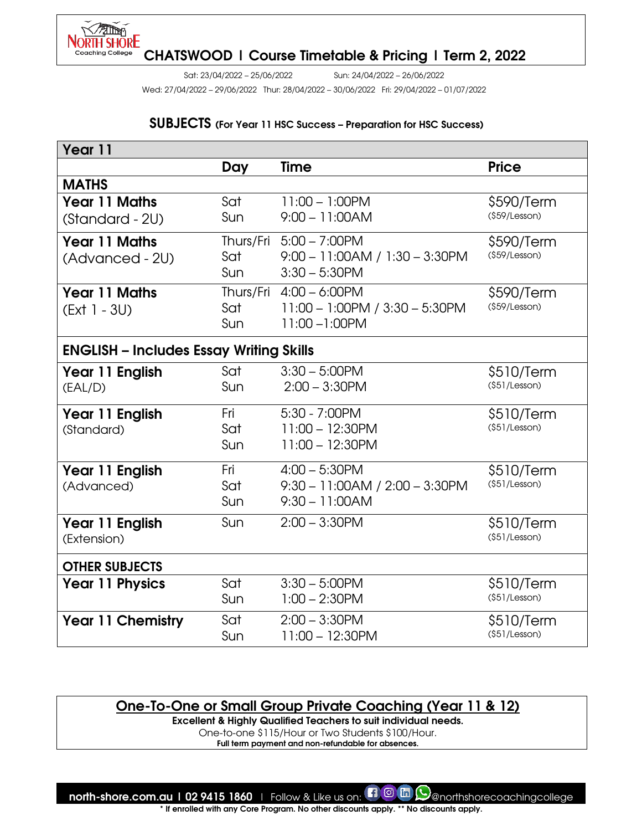

Sat: 23/04/2022 – 25/06/2022 Sun: 24/04/2022 – 26/06/2022

Wed: 27/04/2022 – 29/06/2022 Thur: 28/04/2022 – 30/06/2022 Fri: 29/04/2022 – 01/07/2022

#### SUBJECTS (For Year 11 HSC Success – Preparation for HSC Success)

| Year 11                                        |            |                                  |               |  |  |
|------------------------------------------------|------------|----------------------------------|---------------|--|--|
|                                                | Day        | Time                             | <b>Price</b>  |  |  |
| <b>MATHS</b>                                   |            |                                  |               |  |  |
| <b>Year 11 Maths</b>                           | Sat        | $11:00 - 1:00$ PM                | \$590/Term    |  |  |
| (Standard - 2U)                                | Sun        | $9:00 - 11:00AM$                 | (\$59/Lesson) |  |  |
| <b>Year 11 Maths</b>                           |            | Thurs/Fri 5:00 - 7:00PM          | \$590/Term    |  |  |
| (Advanced - 2U)                                | Sat        | $9:00 - 11:00AM / 1:30 - 3:30PM$ | (§59/Lesson)  |  |  |
|                                                | <b>Sun</b> | $3:30 - 5:30$ PM                 |               |  |  |
| <b>Year 11 Maths</b>                           | Thurs/Fri  | $4:00 - 6:00$ PM                 | \$590/Term    |  |  |
| $(Ext 1 - 3U)$                                 | Sat        | 11:00 - 1:00PM / 3:30 - 5:30PM   | (\$59/Lesson) |  |  |
|                                                | Sun        | $11:00 - 1:00$ PM                |               |  |  |
| <b>ENGLISH - Includes Essay Writing Skills</b> |            |                                  |               |  |  |
| Year 11 English                                | Sat        | $3:30 - 5:00$ PM                 | \$510/Term    |  |  |
| (EAL/D)                                        | Sun        | $2:00 - 3:30$ PM                 | (\$51/Lesson) |  |  |
| Year 11 English                                | Fri        | 5:30 - 7:00PM                    | \$510/Term    |  |  |
| (Standard)                                     | Sat        | $11:00 - 12:30$ PM               | (§51/Lesson)  |  |  |
|                                                | Sun        | 11:00 - 12:30PM                  |               |  |  |
| Year 11 English                                | Fri        | $4:00 - 5:30$ PM                 | \$510/Term    |  |  |
| (Advanced)                                     | Sat        | 9:30 - 11:00AM / 2:00 - 3:30PM   | (\$51/Lesson) |  |  |
|                                                | Sun        | $9:30 - 11:00AM$                 |               |  |  |
| Year 11 English                                | Sun        | $2:00 - 3:30$ PM                 | \$510/Term    |  |  |
| (Extension)                                    |            |                                  | (\$51/Lesson) |  |  |
| <b>OTHER SUBJECTS</b>                          |            |                                  |               |  |  |
| <b>Year 11 Physics</b>                         | Sat        | $3:30 - 5:00$ PM                 | \$510/Term    |  |  |
|                                                | Sun        | $1:00 - 2:30$ PM                 | (§51/Lesson)  |  |  |
| <b>Year 11 Chemistry</b>                       | Sat        | $2:00 - 3:30$ PM                 | \$510/Term    |  |  |
|                                                | Sun        | $11:00 - 12:30$ PM               | (\$51/Lesson) |  |  |

### One-To-One or Small Group Private Coaching (Year 11 & 12)

Excellent & Highly Qualified Teachers to suit individual needs.

One-to-one \$115/Hour or Two Students \$100/Hour.

Full term payment and non-refundable for absences.

north-shore.com.au | 02 9415 1860 | Follow & Like us on:  $\Box$  @ m Q anorthshorecoachingcollege